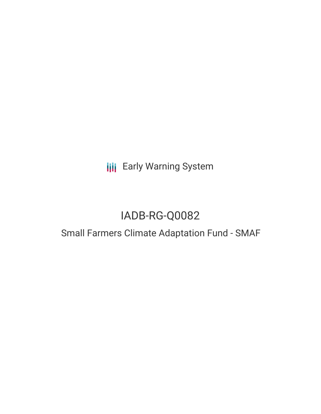**III** Early Warning System

# IADB-RG-Q0082

# Small Farmers Climate Adaptation Fund - SMAF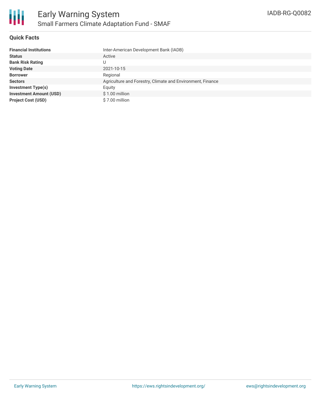

## **Quick Facts**

| <b>Financial Institutions</b>  | Inter-American Development Bank (IADB)                     |
|--------------------------------|------------------------------------------------------------|
| <b>Status</b>                  | Active                                                     |
| <b>Bank Risk Rating</b>        | U                                                          |
| <b>Voting Date</b>             | 2021-10-15                                                 |
| <b>Borrower</b>                | Regional                                                   |
| <b>Sectors</b>                 | Agriculture and Forestry, Climate and Environment, Finance |
| <b>Investment Type(s)</b>      | Equity                                                     |
| <b>Investment Amount (USD)</b> | \$1.00 million                                             |
| <b>Project Cost (USD)</b>      | \$7.00 million                                             |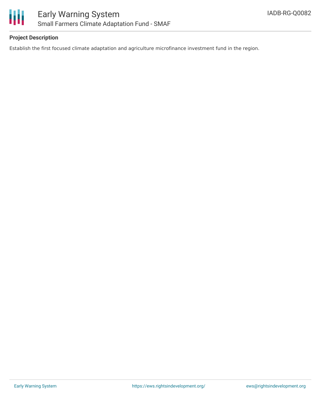

# **Project Description**

Establish the first focused climate adaptation and agriculture microfinance investment fund in the region.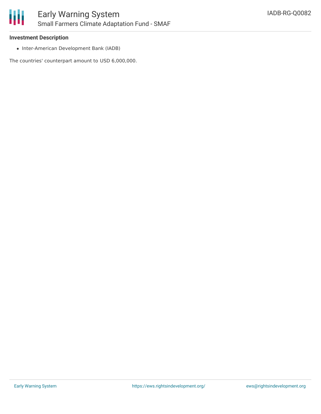

## **Investment Description**

• Inter-American Development Bank (IADB)

The countries' counterpart amount to USD 6,000,000.